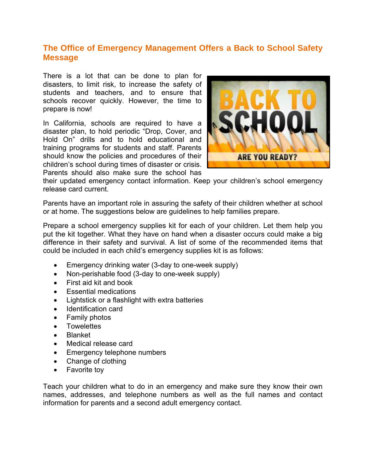## **The Office of Emergency Management Offers a Back to School Safety Message**

There is a lot that can be done to plan for disasters, to limit risk, to increase the safety of students and teachers, and to ensure that schools recover quickly. However, the time to prepare is now!

In California, schools are required to have a disaster plan, to hold periodic "Drop, Cover, and Hold On" drills and to hold educational and training programs for students and staff. Parents should know the policies and procedures of their children's school during times of disaster or crisis. Parents should also make sure the school has



their updated emergency contact information. Keep your children's school emergency release card current.

Parents have an important role in assuring the safety of their children whether at school or at home. The suggestions below are guidelines to help families prepare.

Prepare a school emergency supplies kit for each of your children. Let them help you put the kit together. What they have on hand when a disaster occurs could make a big difference in their safety and survival. A list of some of the recommended items that could be included in each child's emergency supplies kit is as follows:

- Emergency drinking water (3-day to one-week supply)
- Non-perishable food (3-day to one-week supply)
- First aid kit and book
- Essential medications
- Lightstick or a flashlight with extra batteries
- Identification card
- Family photos
- Towelettes
- Blanket
- Medical release card
- Emergency telephone numbers
- Change of clothing
- Favorite toy

Teach your children what to do in an emergency and make sure they know their own names, addresses, and telephone numbers as well as the full names and contact information for parents and a second adult emergency contact.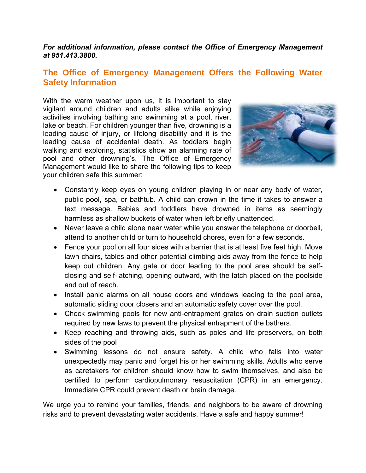#### *For additional information, please contact the Office of Emergency Management at 951.413.3800.*

#### **The Office of Emergency Management Offers the Following Water Safety Information**

With the warm weather upon us, it is important to stay vigilant around children and adults alike while enjoying activities involving bathing and swimming at a pool, river, lake or beach. For children younger than five, drowning is a leading cause of injury, or lifelong disability and it is the leading cause of accidental death. As toddlers begin walking and exploring, statistics show an alarming rate of pool and other drowning's. The Office of Emergency Management would like to share the following tips to keep your children safe this summer:



- Constantly keep eyes on young children playing in or near any body of water, public pool, spa, or bathtub. A child can drown in the time it takes to answer a text message. Babies and toddlers have drowned in items as seemingly harmless as shallow buckets of water when left briefly unattended.
- Never leave a child alone near water while you answer the telephone or doorbell, attend to another child or turn to household chores, even for a few seconds.
- Fence your pool on all four sides with a barrier that is at least five feet high. Move lawn chairs, tables and other potential climbing aids away from the fence to help keep out children. Any gate or door leading to the pool area should be selfclosing and self-latching, opening outward, with the latch placed on the poolside and out of reach.
- Install panic alarms on all house doors and windows leading to the pool area, automatic sliding door closers and an automatic safety cover over the pool.
- Check swimming pools for new anti-entrapment grates on drain suction outlets required by new laws to prevent the physical entrapment of the bathers.
- Keep reaching and throwing aids, such as poles and life preservers, on both sides of the pool
- Swimming lessons do not ensure safety. A child who falls into water unexpectedly may panic and forget his or her swimming skills. Adults who serve as caretakers for children should know how to swim themselves, and also be certified to perform cardiopulmonary resuscitation (CPR) in an emergency. Immediate CPR could prevent death or brain damage.

We urge you to remind your families, friends, and neighbors to be aware of drowning risks and to prevent devastating water accidents. Have a safe and happy summer!